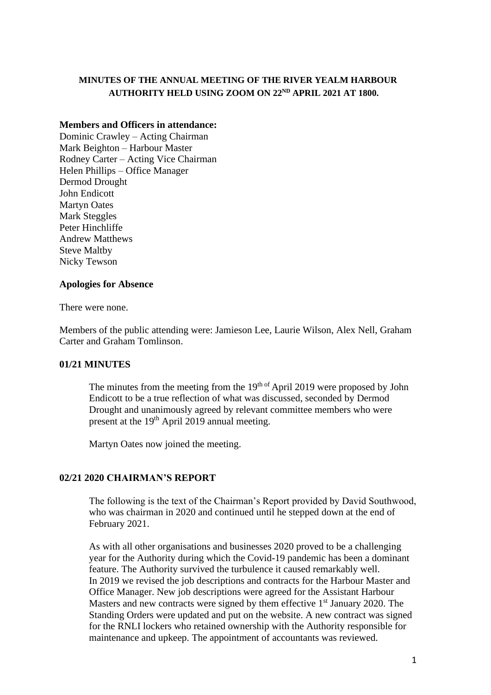# **MINUTES OF THE ANNUAL MEETING OF THE RIVER YEALM HARBOUR AUTHORITY HELD USING ZOOM ON 22ND APRIL 2021 AT 1800.**

# **Members and Officers in attendance:**

Dominic Crawley – Acting Chairman Mark Beighton – Harbour Master Rodney Carter – Acting Vice Chairman Helen Phillips – Office Manager Dermod Drought John Endicott Martyn Oates Mark Steggles Peter Hinchliffe Andrew Matthews Steve Maltby Nicky Tewson

#### **Apologies for Absence**

There were none.

Members of the public attending were: Jamieson Lee, Laurie Wilson, Alex Nell, Graham Carter and Graham Tomlinson.

# **01/21 MINUTES**

The minutes from the meeting from the  $19<sup>th of</sup>$  April 2019 were proposed by John Endicott to be a true reflection of what was discussed, seconded by Dermod Drought and unanimously agreed by relevant committee members who were present at the 19<sup>th</sup> April 2019 annual meeting.

Martyn Oates now joined the meeting.

# **02/21 2020 CHAIRMAN'S REPORT**

The following is the text of the Chairman's Report provided by David Southwood, who was chairman in 2020 and continued until he stepped down at the end of February 2021.

As with all other organisations and businesses 2020 proved to be a challenging year for the Authority during which the Covid-19 pandemic has been a dominant feature. The Authority survived the turbulence it caused remarkably well. In 2019 we revised the job descriptions and contracts for the Harbour Master and Office Manager. New job descriptions were agreed for the Assistant Harbour Masters and new contracts were signed by them effective  $1<sup>st</sup>$  January 2020. The Standing Orders were updated and put on the website. A new contract was signed for the RNLI lockers who retained ownership with the Authority responsible for maintenance and upkeep. The appointment of accountants was reviewed.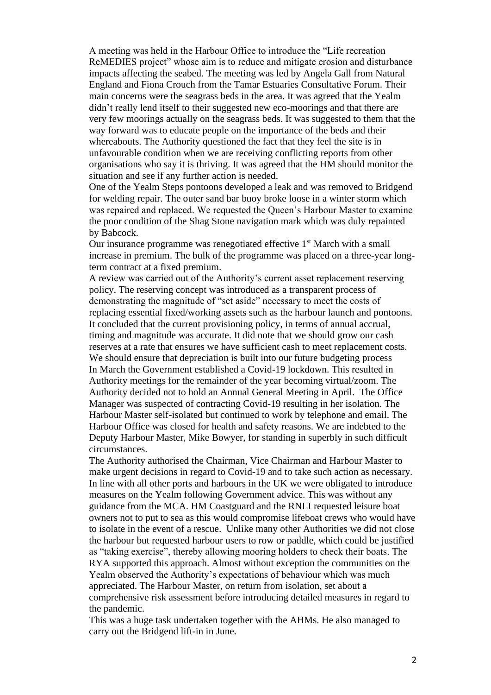A meeting was held in the Harbour Office to introduce the "Life recreation ReMEDIES project" whose aim is to reduce and mitigate erosion and disturbance impacts affecting the seabed. The meeting was led by Angela Gall from Natural England and Fiona Crouch from the Tamar Estuaries Consultative Forum. Their main concerns were the seagrass beds in the area. It was agreed that the Yealm didn't really lend itself to their suggested new eco-moorings and that there are very few moorings actually on the seagrass beds. It was suggested to them that the way forward was to educate people on the importance of the beds and their whereabouts. The Authority questioned the fact that they feel the site is in unfavourable condition when we are receiving conflicting reports from other organisations who say it is thriving. It was agreed that the HM should monitor the situation and see if any further action is needed.

One of the Yealm Steps pontoons developed a leak and was removed to Bridgend for welding repair. The outer sand bar buoy broke loose in a winter storm which was repaired and replaced. We requested the Queen's Harbour Master to examine the poor condition of the Shag Stone navigation mark which was duly repainted by Babcock.

Our insurance programme was renegotiated effective  $1<sup>st</sup>$  March with a small increase in premium. The bulk of the programme was placed on a three-year longterm contract at a fixed premium.

A review was carried out of the Authority's current asset replacement reserving policy. The reserving concept was introduced as a transparent process of demonstrating the magnitude of "set aside" necessary to meet the costs of replacing essential fixed/working assets such as the harbour launch and pontoons. It concluded that the current provisioning policy, in terms of annual accrual, timing and magnitude was accurate. It did note that we should grow our cash reserves at a rate that ensures we have sufficient cash to meet replacement costs. We should ensure that depreciation is built into our future budgeting process In March the Government established a Covid-19 lockdown. This resulted in Authority meetings for the remainder of the year becoming virtual/zoom. The Authority decided not to hold an Annual General Meeting in April. The Office Manager was suspected of contracting Covid-19 resulting in her isolation. The Harbour Master self-isolated but continued to work by telephone and email. The Harbour Office was closed for health and safety reasons. We are indebted to the Deputy Harbour Master, Mike Bowyer, for standing in superbly in such difficult circumstances.

The Authority authorised the Chairman, Vice Chairman and Harbour Master to make urgent decisions in regard to Covid-19 and to take such action as necessary. In line with all other ports and harbours in the UK we were obligated to introduce measures on the Yealm following Government advice. This was without any guidance from the MCA. HM Coastguard and the RNLI requested leisure boat owners not to put to sea as this would compromise lifeboat crews who would have to isolate in the event of a rescue. Unlike many other Authorities we did not close the harbour but requested harbour users to row or paddle, which could be justified as "taking exercise", thereby allowing mooring holders to check their boats. The RYA supported this approach. Almost without exception the communities on the Yealm observed the Authority's expectations of behaviour which was much appreciated. The Harbour Master, on return from isolation, set about a comprehensive risk assessment before introducing detailed measures in regard to the pandemic.

This was a huge task undertaken together with the AHMs. He also managed to carry out the Bridgend lift-in in June.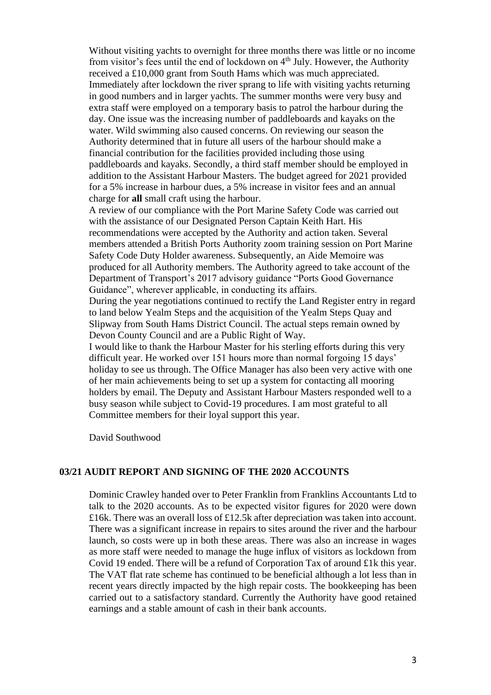Without visiting yachts to overnight for three months there was little or no income from visitor's fees until the end of lockdown on 4<sup>th</sup> July. However, the Authority received a £10,000 grant from South Hams which was much appreciated. Immediately after lockdown the river sprang to life with visiting yachts returning in good numbers and in larger yachts. The summer months were very busy and extra staff were employed on a temporary basis to patrol the harbour during the day. One issue was the increasing number of paddleboards and kayaks on the water. Wild swimming also caused concerns. On reviewing our season the Authority determined that in future all users of the harbour should make a financial contribution for the facilities provided including those using paddleboards and kayaks. Secondly, a third staff member should be employed in addition to the Assistant Harbour Masters. The budget agreed for 2021 provided for a 5% increase in harbour dues, a 5% increase in visitor fees and an annual charge for **all** small craft using the harbour. A review of our compliance with the Port Marine Safety Code was carried out with the assistance of our Designated Person Captain Keith Hart. His recommendations were accepted by the Authority and action taken. Several members attended a British Ports Authority zoom training session on Port Marine Safety Code Duty Holder awareness. Subsequently, an Aide Memoire was produced for all Authority members. The Authority agreed to take account of the Department of Transport's 2017 advisory guidance "Ports Good Governance Guidance", wherever applicable, in conducting its affairs. During the year negotiations continued to rectify the Land Register entry in regard to land below Yealm Steps and the acquisition of the Yealm Steps Quay and

Slipway from South Hams District Council. The actual steps remain owned by Devon County Council and are a Public Right of Way.

I would like to thank the Harbour Master for his sterling efforts during this very difficult year. He worked over 151 hours more than normal forgoing 15 days' holiday to see us through. The Office Manager has also been very active with one of her main achievements being to set up a system for contacting all mooring holders by email. The Deputy and Assistant Harbour Masters responded well to a busy season while subject to Covid-19 procedures. I am most grateful to all Committee members for their loyal support this year.

David Southwood

# **03/21 AUDIT REPORT AND SIGNING OF THE 2020 ACCOUNTS**

Dominic Crawley handed over to Peter Franklin from Franklins Accountants Ltd to talk to the 2020 accounts. As to be expected visitor figures for 2020 were down £16k. There was an overall loss of £12.5k after depreciation was taken into account. There was a significant increase in repairs to sites around the river and the harbour launch, so costs were up in both these areas. There was also an increase in wages as more staff were needed to manage the huge influx of visitors as lockdown from Covid 19 ended. There will be a refund of Corporation Tax of around £1k this year. The VAT flat rate scheme has continued to be beneficial although a lot less than in recent years directly impacted by the high repair costs. The bookkeeping has been carried out to a satisfactory standard. Currently the Authority have good retained earnings and a stable amount of cash in their bank accounts.